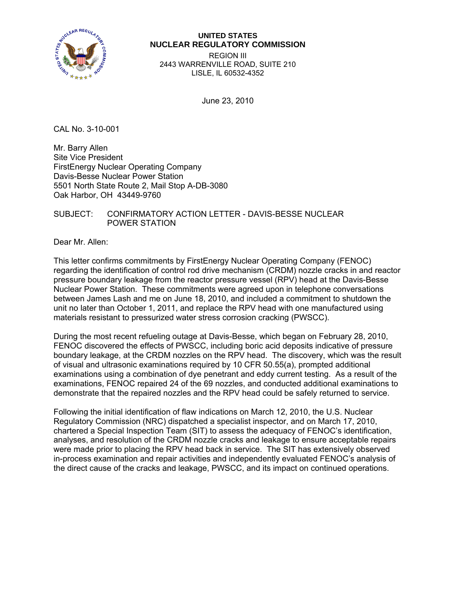

## **UNITED STATES NUCLEAR REGULATORY COMMISSION**

REGION III 2443 WARRENVILLE ROAD, SUITE 210 LISLE, IL 60532-4352

June 23, 2010

CAL No. 3-10-001

Mr. Barry Allen Site Vice President FirstEnergy Nuclear Operating Company Davis-Besse Nuclear Power Station 5501 North State Route 2, Mail Stop A-DB-3080 Oak Harbor, OH 43449-9760

## SUBJECT: CONFIRMATORY ACTION LETTER - DAVIS-BESSE NUCLEAR POWER STATION

Dear Mr. Allen:

This letter confirms commitments by FirstEnergy Nuclear Operating Company (FENOC) regarding the identification of control rod drive mechanism (CRDM) nozzle cracks in and reactor pressure boundary leakage from the reactor pressure vessel (RPV) head at the Davis-Besse Nuclear Power Station. These commitments were agreed upon in telephone conversations between James Lash and me on June 18, 2010, and included a commitment to shutdown the unit no later than October 1, 2011, and replace the RPV head with one manufactured using materials resistant to pressurized water stress corrosion cracking (PWSCC).

During the most recent refueling outage at Davis-Besse, which began on February 28, 2010, FENOC discovered the effects of PWSCC, including boric acid deposits indicative of pressure boundary leakage, at the CRDM nozzles on the RPV head. The discovery, which was the result of visual and ultrasonic examinations required by 10 CFR 50.55(a), prompted additional examinations using a combination of dye penetrant and eddy current testing. As a result of the examinations, FENOC repaired 24 of the 69 nozzles, and conducted additional examinations to demonstrate that the repaired nozzles and the RPV head could be safely returned to service.

Following the initial identification of flaw indications on March 12, 2010, the U.S. Nuclear Regulatory Commission (NRC) dispatched a specialist inspector, and on March 17, 2010, chartered a Special Inspection Team (SIT) to assess the adequacy of FENOC's identification, analyses, and resolution of the CRDM nozzle cracks and leakage to ensure acceptable repairs were made prior to placing the RPV head back in service. The SIT has extensively observed in-process examination and repair activities and independently evaluated FENOC's analysis of the direct cause of the cracks and leakage, PWSCC, and its impact on continued operations.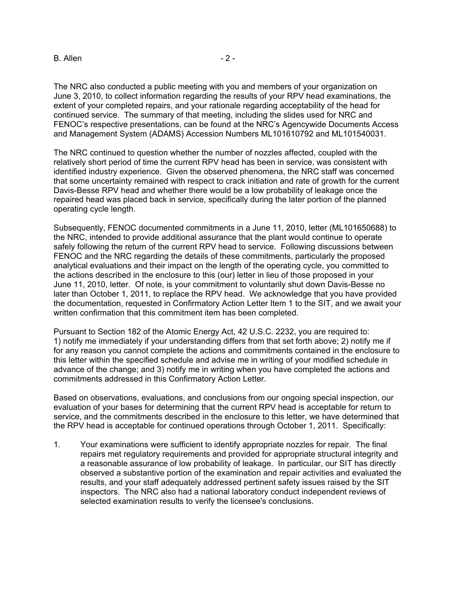The NRC also conducted a public meeting with you and members of your organization on June 3, 2010, to collect information regarding the results of your RPV head examinations, the extent of your completed repairs, and your rationale regarding acceptability of the head for

continued service. The summary of that meeting, including the slides used for NRC and FENOC's respective presentations, can be found at the NRC's Agencywide Documents Access and Management System (ADAMS) Accession Numbers ML101610792 and ML101540031.

The NRC continued to question whether the number of nozzles affected, coupled with the relatively short period of time the current RPV head has been in service, was consistent with identified industry experience. Given the observed phenomena, the NRC staff was concerned that some uncertainty remained with respect to crack initiation and rate of growth for the current Davis-Besse RPV head and whether there would be a low probability of leakage once the repaired head was placed back in service, specifically during the later portion of the planned operating cycle length.

Subsequently, FENOC documented commitments in a June 11, 2010, letter (ML101650688) to the NRC, intended to provide additional assurance that the plant would continue to operate safely following the return of the current RPV head to service. Following discussions between FENOC and the NRC regarding the details of these commitments, particularly the proposed analytical evaluations and their impact on the length of the operating cycle, you committed to the actions described in the enclosure to this (our) letter in lieu of those proposed in your June 11, 2010, letter. Of note, is your commitment to voluntarily shut down Davis-Besse no later than October 1, 2011, to replace the RPV head. We acknowledge that you have provided the documentation, requested in Confirmatory Action Letter Item 1 to the SIT, and we await your written confirmation that this commitment item has been completed.

Pursuant to Section 182 of the Atomic Energy Act, 42 U.S.C. 2232, you are required to: 1) notify me immediately if your understanding differs from that set forth above; 2) notify me if for any reason you cannot complete the actions and commitments contained in the enclosure to this letter within the specified schedule and advise me in writing of your modified schedule in advance of the change; and 3) notify me in writing when you have completed the actions and commitments addressed in this Confirmatory Action Letter.

Based on observations, evaluations, and conclusions from our ongoing special inspection, our evaluation of your bases for determining that the current RPV head is acceptable for return to service, and the commitments described in the enclosure to this letter, we have determined that the RPV head is acceptable for continued operations through October 1, 2011. Specifically:

1. Your examinations were sufficient to identify appropriate nozzles for repair. The final repairs met regulatory requirements and provided for appropriate structural integrity and a reasonable assurance of low probability of leakage. In particular, our SIT has directly observed a substantive portion of the examination and repair activities and evaluated the results, and your staff adequately addressed pertinent safety issues raised by the SIT inspectors. The NRC also had a national laboratory conduct independent reviews of selected examination results to verify the licensee's conclusions.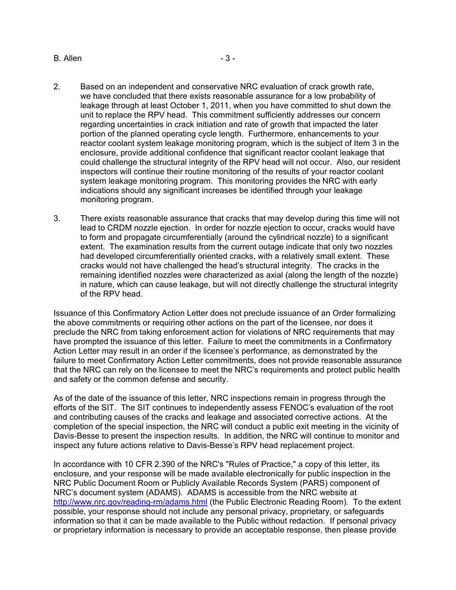B. Allen - 3 -

monitoring program.

- 2. Based on an independent and conservative NRC evaluation of crack growth rate, we have concluded that there exists reasonable assurance for a low probability of leakage through at least October 1, 2011, when you have committed to shut down the unit to replace the RPV head. This commitment sufficiently addresses our concern regarding uncertainties in crack initiation and rate of growth that impacted the later portion of the planned operating cycle length. Furthermore, enhancements to your reactor coolant system leakage monitoring program, which is the subject of Item 3 in the enclosure, provide additional confidence that significant reactor coolant leakage that could challenge the structural integrity of the RPV head will not occur. Also, our resident inspectors will continue their routine monitoring of the results of your reactor coolant system leakage monitoring program. This monitoring provides the NRC with early indications should any significant increases be identified through your leakage
- 3. There exists reasonable assurance that cracks that may develop during this time will not lead to CRDM nozzle ejection. In order for nozzle ejection to occur, cracks would have to form and propagate circumferentially (around the cylindrical nozzle) to a significant extent. The examination results from the current outage indicate that only two nozzles had developed circumferentially oriented cracks, with a relatively small extent. These cracks would not have challenged the head's structural integrity. The cracks in the remaining identified nozzles were characterized as axial (along the length of the nozzle) in nature, which can cause leakage, but will not directly challenge the structural integrity of the RPV head.

Issuance of this Confirmatory Action Letter does not preclude issuance of an Order formalizing the above commitments or requiring other actions on the part of the licensee, nor does it preclude the NRC from taking enforcement action for violations of NRC requirements that may have prompted the issuance of this letter. Failure to meet the commitments in a Confirmatory Action Letter may result in an order if the licensee's performance, as demonstrated by the failure to meet Confirmatory Action Letter commitments, does not provide reasonable assurance that the NRC can rely on the licensee to meet the NRC's requirements and protect public health and safety or the common defense and security.

As of the date of the issuance of this letter, NRC inspections remain in progress through the efforts of the SIT. The SIT continues to independently assess FENOC's evaluation of the root and contributing causes of the cracks and leakage and associated corrective actions. At the completion of the special inspection, the NRC will conduct a public exit meeting in the vicinity of Davis-Besse to present the inspection results. In addition, the NRC will continue to monitor and inspect any future actions relative to Davis-Besse's RPV head replacement project.

In accordance with 10 CFR 2.390 of the NRC's "Rules of Practice," a copy of this letter, its enclosure, and your response will be made available electronically for public inspection in the NRC Public Document Room or Publicly Available Records System (PARS) component of NRC's document system (ADAMS). ADAMS is accessible from the NRC website at http://www.nrc.gov/reading-rm/adams.html (the Public Electronic Reading Room). To the extent possible, your response should not include any personal privacy, proprietary, or safeguards information so that it can be made available to the Public without redaction. If personal privacy or proprietary information is necessary to provide an acceptable response, then please provide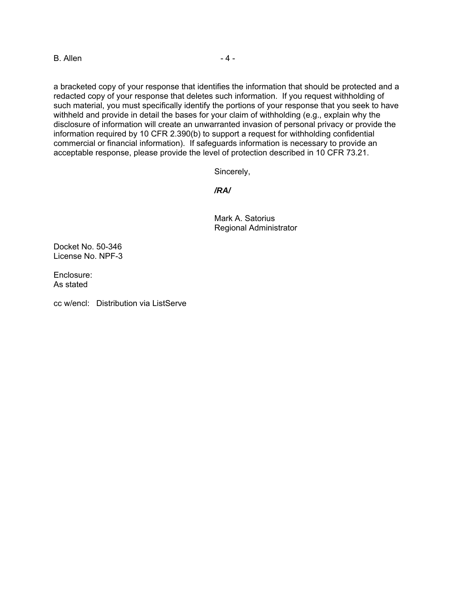$B.$  Allen  $-4-$ 

a bracketed copy of your response that identifies the information that should be protected and a redacted copy of your response that deletes such information. If you request withholding of such material, you must specifically identify the portions of your response that you seek to have withheld and provide in detail the bases for your claim of withholding (e.g., explain why the disclosure of information will create an unwarranted invasion of personal privacy or provide the information required by 10 CFR 2.390(b) to support a request for withholding confidential commercial or financial information). If safeguards information is necessary to provide an acceptable response, please provide the level of protection described in 10 CFR 73.21.

Sincerely,

*/RA/* 

Mark A. Satorius Regional Administrator

Docket No. 50-346 License No. NPF-3

Enclosure: As stated

cc w/encl: Distribution via ListServe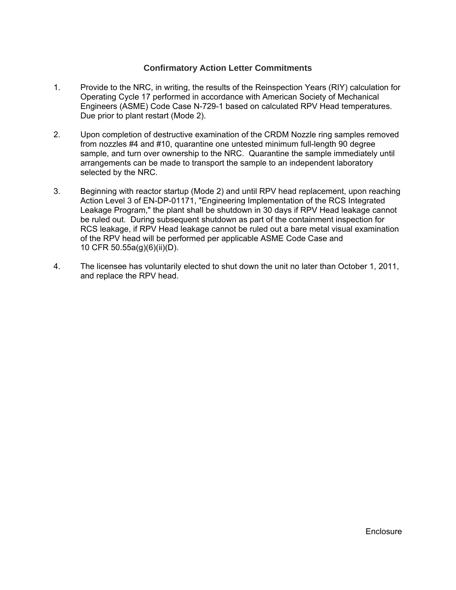## **Confirmatory Action Letter Commitments**

- 1. Provide to the NRC, in writing, the results of the Reinspection Years (RIY) calculation for Operating Cycle 17 performed in accordance with American Society of Mechanical Engineers (ASME) Code Case N-729-1 based on calculated RPV Head temperatures. Due prior to plant restart (Mode 2).
- 2. Upon completion of destructive examination of the CRDM Nozzle ring samples removed from nozzles #4 and #10, quarantine one untested minimum full-length 90 degree sample, and turn over ownership to the NRC. Quarantine the sample immediately until arrangements can be made to transport the sample to an independent laboratory selected by the NRC.
- 3. Beginning with reactor startup (Mode 2) and until RPV head replacement, upon reaching Action Level 3 of EN-DP-01171, "Engineering Implementation of the RCS Integrated Leakage Program," the plant shall be shutdown in 30 days if RPV Head leakage cannot be ruled out. During subsequent shutdown as part of the containment inspection for RCS leakage, if RPV Head leakage cannot be ruled out a bare metal visual examination of the RPV head will be performed per applicable ASME Code Case and 10 CFR 50.55a(g)(6)(ii)(D).
- 4. The licensee has voluntarily elected to shut down the unit no later than October 1, 2011, and replace the RPV head.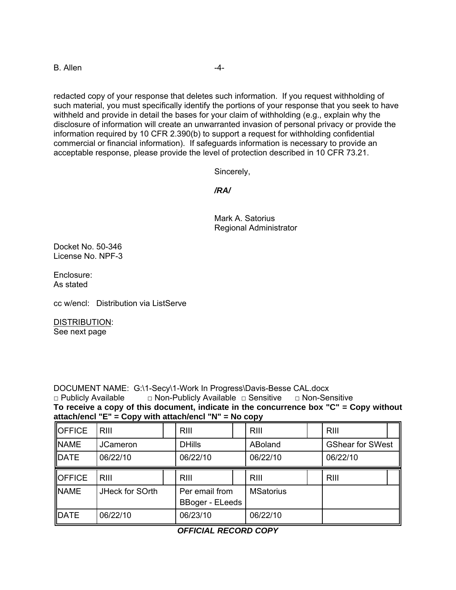B. Allen -4-

redacted copy of your response that deletes such information. If you request withholding of such material, you must specifically identify the portions of your response that you seek to have withheld and provide in detail the bases for your claim of withholding (e.g., explain why the disclosure of information will create an unwarranted invasion of personal privacy or provide the information required by 10 CFR 2.390(b) to support a request for withholding confidential commercial or financial information). If safeguards information is necessary to provide an acceptable response, please provide the level of protection described in 10 CFR 73.21.

Sincerely,

*/RA/* 

Mark A. Satorius Regional Administrator

Docket No. 50-346 License No. NPF-3

Enclosure: As stated

cc w/encl: Distribution via ListServe

DISTRIBUTION:

See next page

DOCUMENT NAME: G:\1-Secy\1-Work In Progress\Davis-Besse CAL.docx

□ Publicly Available □ Non-Publicly Available □ Sensitive □ Non-Sensitive **To receive a copy of this document, indicate in the concurrence box "C" = Copy without attach/encl "E" = Copy with attach/encl "N" = No copy** 

| <b>OFFICE</b> | <b>RIII</b>     |  | RIII                                     |  | <b>RIII</b>      |  | RIII                    |  |
|---------------|-----------------|--|------------------------------------------|--|------------------|--|-------------------------|--|
| <b>NAME</b>   | <b>JCameron</b> |  | <b>DHills</b>                            |  | ABoland          |  | <b>GShear for SWest</b> |  |
| DATE          | 06/22/10        |  | 06/22/10                                 |  | 06/22/10         |  | 06/22/10                |  |
| <b>OFFICE</b> | <b>RIII</b>     |  | <b>RIII</b>                              |  | <b>RIII</b>      |  | <b>RIII</b>             |  |
| <b>INAME</b>  | JHeck for SOrth |  | Per email from<br><b>BBoger - ELeeds</b> |  | <b>MSatorius</b> |  |                         |  |
| <b>IDATE</b>  | 06/22/10        |  | 06/23/10                                 |  | 06/22/10         |  |                         |  |

*OFFICIAL RECORD COPY*